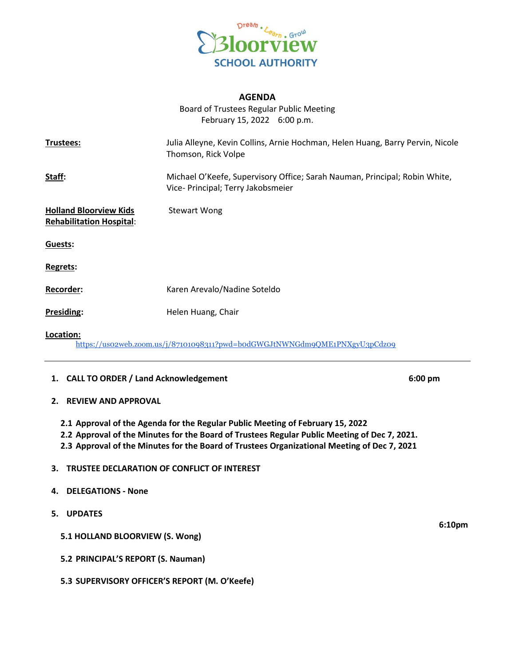

## **AGENDA**

Board of Trustees Regular Public Meeting February 15, 2022 6:00 p.m.

| Trustees:                                                        | Julia Alleyne, Kevin Collins, Arnie Hochman, Helen Huang, Barry Pervin, Nicole<br>Thomson, Rick Volpe            |
|------------------------------------------------------------------|------------------------------------------------------------------------------------------------------------------|
| Staff:                                                           | Michael O'Keefe, Supervisory Office; Sarah Nauman, Principal; Robin White,<br>Vice- Principal; Terry Jakobsmeier |
| <b>Holland Bloorview Kids</b><br><b>Rehabilitation Hospital:</b> | <b>Stewart Wong</b>                                                                                              |
| Guests:                                                          |                                                                                                                  |
| Regrets:                                                         |                                                                                                                  |
| Recorder:                                                        | Karen Arevalo/Nadine Soteldo                                                                                     |
| Presiding:                                                       | Helen Huang, Chair                                                                                               |
| Location:                                                        | https://uso2web.zoom.us/j/87101098311?pwd=bodGWGJtNWNGdm9QME1PNXgyU3pCdz09                                       |

### **1. CALL TO ORDER / Land Acknowledgement 6:00 pm**

### **2. REVIEW AND APPROVAL**

- **2.1 Approval of the Agenda for the Regular Public Meeting of February 15, 2022**
- **2.2 Approval of the Minutes for the Board of Trustees Regular Public Meeting of Dec 7, 2021.**
- **2.3 Approval of the Minutes for the Board of Trustees Organizational Meeting of Dec 7, 2021**

### **3. TRUSTEE DECLARATION OF CONFLICT OF INTEREST**

- **4. DELEGATIONS - None**
- **5. UPDATES**
	- **5.1 HOLLAND BLOORVIEW (S. Wong)**
	- **5.2 PRINCIPAL'S REPORT (S. Nauman)**
	- **5.3 SUPERVISORY OFFICER'S REPORT (M. O'Keefe)**

**6:10pm**